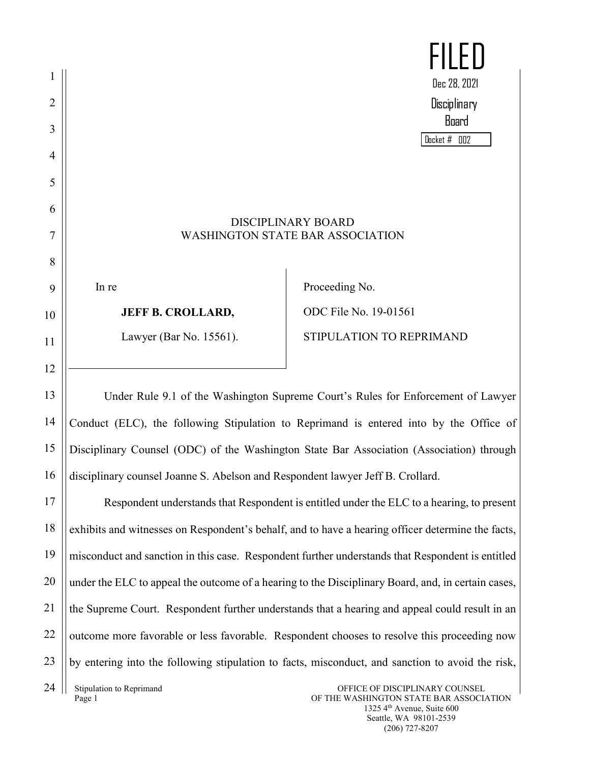|    |                                                                                                    | HL                                                                                               |
|----|----------------------------------------------------------------------------------------------------|--------------------------------------------------------------------------------------------------|
|    |                                                                                                    | Dec 28, 2021                                                                                     |
| 2  |                                                                                                    | Disciplinary                                                                                     |
| 3  |                                                                                                    | Board                                                                                            |
| 4  |                                                                                                    | Docket # 002                                                                                     |
| 5  |                                                                                                    |                                                                                                  |
| 6  |                                                                                                    |                                                                                                  |
|    |                                                                                                    | <b>DISCIPLINARY BOARD</b>                                                                        |
| 7  |                                                                                                    | <b>WASHINGTON STATE BAR ASSOCIATION</b>                                                          |
| 8  |                                                                                                    |                                                                                                  |
| 9  | In re                                                                                              | Proceeding No.                                                                                   |
| 10 | <b>JEFF B. CROLLARD,</b>                                                                           | ODC File No. 19-01561                                                                            |
| 11 | Lawyer (Bar No. 15561).                                                                            | STIPULATION TO REPRIMAND                                                                         |
| 12 |                                                                                                    |                                                                                                  |
| 13 |                                                                                                    | Under Rule 9.1 of the Washington Supreme Court's Rules for Enforcement of Lawyer                 |
| 14 | Conduct (ELC), the following Stipulation to Reprimand is entered into by the Office of             |                                                                                                  |
| 15 | Disciplinary Counsel (ODC) of the Washington State Bar Association (Association) through           |                                                                                                  |
| 16 | disciplinary counsel Joanne S. Abelson and Respondent lawyer Jeff B. Crollard.                     |                                                                                                  |
| 17 |                                                                                                    | Respondent understands that Respondent is entitled under the ELC to a hearing, to present        |
| 18 | exhibits and witnesses on Respondent's behalf, and to have a hearing officer determine the facts,  |                                                                                                  |
| 19 |                                                                                                    | misconduct and sanction in this case. Respondent further understands that Respondent is entitled |
| 20 | under the ELC to appeal the outcome of a hearing to the Disciplinary Board, and, in certain cases, |                                                                                                  |

the Supreme Court. Respondent further understands that a hearing and appeal could result in an

outcome more favorable or less favorable. Respondent chooses to resolve this proceeding now

by entering into the following stipulation to facts, misconduct, and sanction to avoid the risk,

OFFICE OF DISCIPLINARY COUNSEL OF THE WASHINGTON STATE BAR ASSOCIATION 1325 4th Avenue, Suite 600 Seattle, WA 98101-2539 (206) 727-8207

21

22

23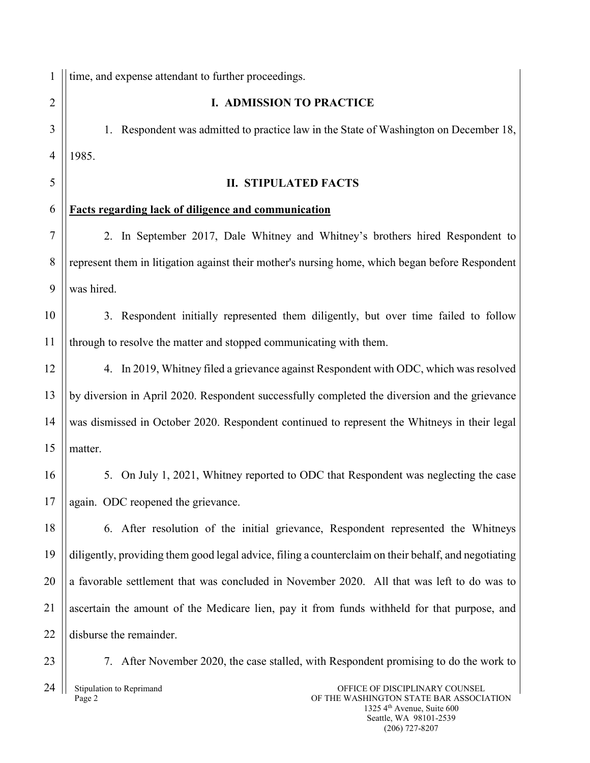1  $\overline{2}$ 3 4 5 6 7 8 9 10 11 12 13 14 15 16 17 18 19 20 21 22 23 24 time, and expense attendant to further proceedings. **I. ADMISSION TO PRACTICE** 1. Respondent was admitted to practice law in the State of Washington on December 18, 1985. **II. STIPULATED FACTS Facts regarding lack of diligence and communication** 2. In September 2017, Dale Whitney and Whitney's brothers hired Respondent to represent them in litigation against their mother's nursing home, which began before Respondent was hired. 3. Respondent initially represented them diligently, but over time failed to follow through to resolve the matter and stopped communicating with them. 4. In 2019, Whitney filed a grievance against Respondent with ODC, which was resolved by diversion in April 2020. Respondent successfully completed the diversion and the grievance was dismissed in October 2020. Respondent continued to represent the Whitneys in their legal matter. 5. On July 1, 2021, Whitney reported to ODC that Respondent was neglecting the case again. ODC reopened the grievance. 6. After resolution of the initial grievance, Respondent represented the Whitneys diligently, providing them good legal advice, filing a counterclaim on their behalf, and negotiating a favorable settlement that was concluded in November 2020. All that was left to do was to ascertain the amount of the Medicare lien, pay it from funds withheld for that purpose, and disburse the remainder. 7. After November 2020, the case stalled, with Respondent promising to do the work to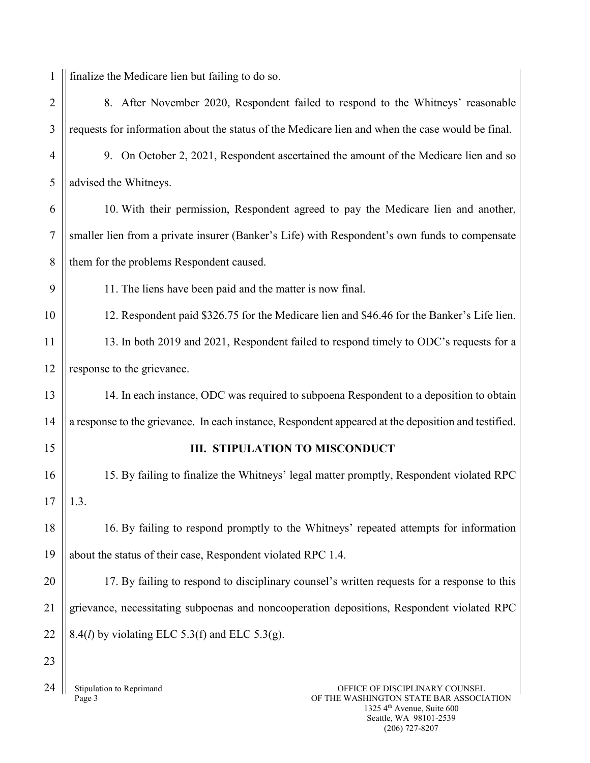1 finalize the Medicare lien but failing to do so.

| $\overline{2}$ | 8. After November 2020, Respondent failed to respond to the Whitneys' reasonable                                |  |  |
|----------------|-----------------------------------------------------------------------------------------------------------------|--|--|
| 3              | requests for information about the status of the Medicare lien and when the case would be final.                |  |  |
| 4              | 9. On October 2, 2021, Respondent ascertained the amount of the Medicare lien and so                            |  |  |
| 5              | advised the Whitneys.                                                                                           |  |  |
| 6              | 10. With their permission, Respondent agreed to pay the Medicare lien and another,                              |  |  |
| $\overline{7}$ | smaller lien from a private insurer (Banker's Life) with Respondent's own funds to compensate                   |  |  |
| 8              | them for the problems Respondent caused.                                                                        |  |  |
| 9              | 11. The liens have been paid and the matter is now final.                                                       |  |  |
| 10             | 12. Respondent paid \$326.75 for the Medicare lien and \$46.46 for the Banker's Life lien.                      |  |  |
| 11             | 13. In both 2019 and 2021, Respondent failed to respond timely to ODC's requests for a                          |  |  |
| 12             | response to the grievance.                                                                                      |  |  |
| 13             | 14. In each instance, ODC was required to subpoena Respondent to a deposition to obtain                         |  |  |
| 14             | a response to the grievance. In each instance, Respondent appeared at the deposition and testified.             |  |  |
| 15             | III. STIPULATION TO MISCONDUCT                                                                                  |  |  |
| 16             | 15. By failing to finalize the Whitneys' legal matter promptly, Respondent violated RPC                         |  |  |
| 17             | 1.3.                                                                                                            |  |  |
| 18             | 16. By failing to respond promptly to the Whitneys' repeated attempts for information                           |  |  |
| 19             | about the status of their case, Respondent violated RPC 1.4.                                                    |  |  |
| 20             | 17. By failing to respond to disciplinary counsel's written requests for a response to this                     |  |  |
| 21             | grievance, necessitating subpoenas and noncooperation depositions, Respondent violated RPC                      |  |  |
| 22             | 8.4( <i>l</i> ) by violating ELC 5.3(f) and ELC 5.3(g).                                                         |  |  |
| 23             |                                                                                                                 |  |  |
| 24             | Stipulation to Reprimand<br>OFFICE OF DISCIPLINARY COUNSEL<br>Page 3<br>OF THE WASHINGTON STATE BAR ASSOCIATION |  |  |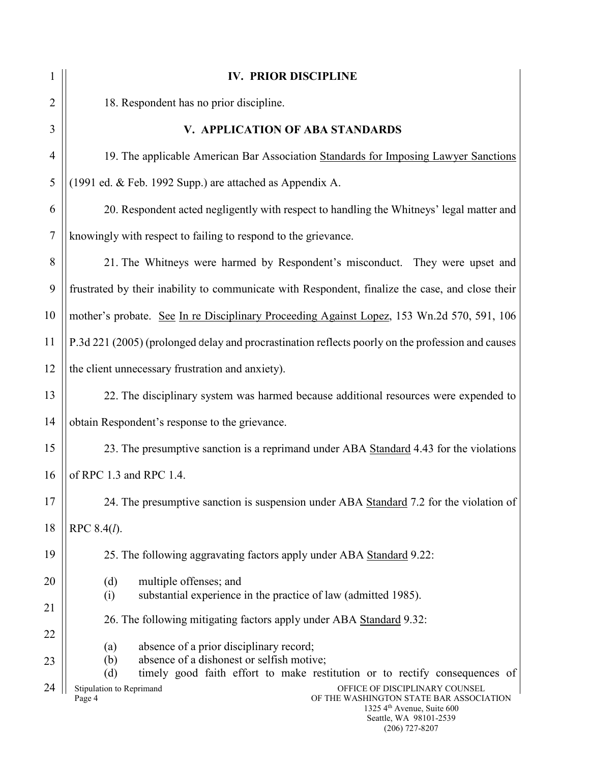| 1              | <b>IV. PRIOR DISCIPLINE</b>                                                                                                                                                                 |  |
|----------------|---------------------------------------------------------------------------------------------------------------------------------------------------------------------------------------------|--|
| $\overline{2}$ | 18. Respondent has no prior discipline.                                                                                                                                                     |  |
| 3              | V. APPLICATION OF ABA STANDARDS                                                                                                                                                             |  |
| $\overline{4}$ | 19. The applicable American Bar Association Standards for Imposing Lawyer Sanctions                                                                                                         |  |
| 5              | (1991 ed. & Feb. 1992 Supp.) are attached as Appendix A.                                                                                                                                    |  |
| 6              | 20. Respondent acted negligently with respect to handling the Whitneys' legal matter and                                                                                                    |  |
| 7              | knowingly with respect to failing to respond to the grievance.                                                                                                                              |  |
| 8              | 21. The Whitneys were harmed by Respondent's misconduct. They were upset and                                                                                                                |  |
| 9              | frustrated by their inability to communicate with Respondent, finalize the case, and close their                                                                                            |  |
| 10             | mother's probate. See In re Disciplinary Proceeding Against Lopez, 153 Wn.2d 570, 591, 106                                                                                                  |  |
| 11             | P.3d 221 (2005) (prolonged delay and procrastination reflects poorly on the profession and causes                                                                                           |  |
| 12             | the client unnecessary frustration and anxiety).                                                                                                                                            |  |
| 13             | 22. The disciplinary system was harmed because additional resources were expended to                                                                                                        |  |
| 14             | obtain Respondent's response to the grievance.                                                                                                                                              |  |
| 15             | 23. The presumptive sanction is a reprimand under ABA Standard 4.43 for the violations                                                                                                      |  |
| 16             | of RPC 1.3 and RPC 1.4.                                                                                                                                                                     |  |
| 17             | 24. The presumptive sanction is suspension under ABA Standard 7.2 for the violation of                                                                                                      |  |
| 18             | RPC 8.4(1).                                                                                                                                                                                 |  |
| 19             | 25. The following aggravating factors apply under ABA Standard 9.22:                                                                                                                        |  |
| 20             | multiple offenses; and<br>(d)<br>substantial experience in the practice of law (admitted 1985).<br>(i)                                                                                      |  |
| 21             | 26. The following mitigating factors apply under ABA Standard 9.32:                                                                                                                         |  |
| 22             | absence of a prior disciplinary record;<br>(a)                                                                                                                                              |  |
| 23             | absence of a dishonest or selfish motive;<br>(b)<br>timely good faith effort to make restitution or to rectify consequences of<br>(d)                                                       |  |
| 24             | Stipulation to Reprimand<br>OFFICE OF DISCIPLINARY COUNSEL<br>OF THE WASHINGTON STATE BAR ASSOCIATION<br>Page 4<br>1325 4th Avenue, Suite 600<br>Seattle, WA 98101-2539<br>$(206)$ 727-8207 |  |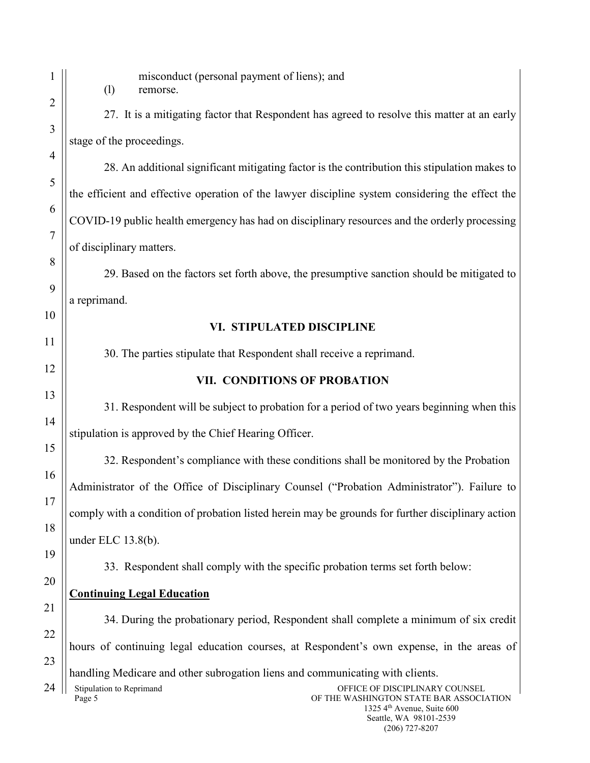|                | misconduct (personal payment of liens); and<br>(1)<br>remorse.                                                                                            |  |  |
|----------------|-----------------------------------------------------------------------------------------------------------------------------------------------------------|--|--|
| 2              | 27. It is a mitigating factor that Respondent has agreed to resolve this matter at an early                                                               |  |  |
| 3              | stage of the proceedings.                                                                                                                                 |  |  |
| $\overline{4}$ | 28. An additional significant mitigating factor is the contribution this stipulation makes to                                                             |  |  |
| 5              | the efficient and effective operation of the lawyer discipline system considering the effect the                                                          |  |  |
| 6              | COVID-19 public health emergency has had on disciplinary resources and the orderly processing                                                             |  |  |
| $\overline{7}$ | of disciplinary matters.                                                                                                                                  |  |  |
| 8              | 29. Based on the factors set forth above, the presumptive sanction should be mitigated to                                                                 |  |  |
| 9              | a reprimand.                                                                                                                                              |  |  |
| 10             |                                                                                                                                                           |  |  |
| 11             | VI. STIPULATED DISCIPLINE                                                                                                                                 |  |  |
| 12             | 30. The parties stipulate that Respondent shall receive a reprimand.                                                                                      |  |  |
| 13             | VII. CONDITIONS OF PROBATION                                                                                                                              |  |  |
| 14             | 31. Respondent will be subject to probation for a period of two years beginning when this                                                                 |  |  |
| 15             | stipulation is approved by the Chief Hearing Officer.                                                                                                     |  |  |
| 16             | 32. Respondent's compliance with these conditions shall be monitored by the Probation                                                                     |  |  |
| 17             | Administrator of the Office of Disciplinary Counsel ("Probation Administrator"). Failure to                                                               |  |  |
| 18             | comply with a condition of probation listed herein may be grounds for further disciplinary action                                                         |  |  |
| 19             | under ELC $13.8(b)$ .                                                                                                                                     |  |  |
| 20             | 33. Respondent shall comply with the specific probation terms set forth below:                                                                            |  |  |
| 21             | <b>Continuing Legal Education</b>                                                                                                                         |  |  |
| 22             | 34. During the probationary period, Respondent shall complete a minimum of six credit                                                                     |  |  |
|                | hours of continuing legal education courses, at Respondent's own expense, in the areas of                                                                 |  |  |
| 23             | handling Medicare and other subrogation liens and communicating with clients.                                                                             |  |  |
| 24             | Stipulation to Reprimand<br>OFFICE OF DISCIPLINARY COUNSEL<br>Page 5<br>OF THE WASHINGTON STATE BAR ASSOCIATION<br>1325 4 <sup>th</sup> Avenue, Suite 600 |  |  |

Seattle, WA 98101-2539 (206) 727-8207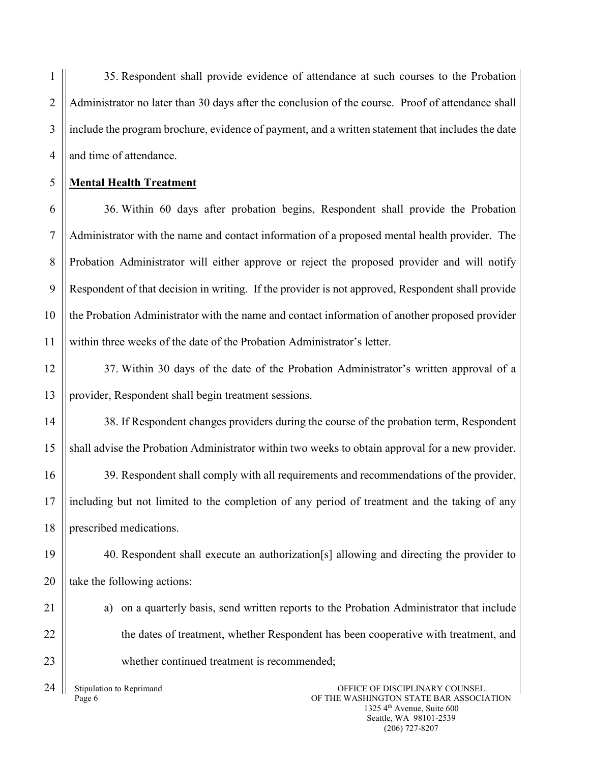35. Respondent shall provide evidence of attendance at such courses to the Probation Administrator no later than 30 days after the conclusion of the course. Proof of attendance shall include the program brochure, evidence of payment, and a written statement that includes the date and time of attendance.

## **Mental Health Treatment**

1

 $\overline{2}$ 

3

4

5

6

7

8

9

10

11

14

15

16

17

18

21

22

23

36. Within 60 days after probation begins, Respondent shall provide the Probation Administrator with the name and contact information of a proposed mental health provider. The Probation Administrator will either approve or reject the proposed provider and will notify Respondent of that decision in writing. If the provider is not approved, Respondent shall provide the Probation Administrator with the name and contact information of another proposed provider within three weeks of the date of the Probation Administrator's letter.

12 13 37. Within 30 days of the date of the Probation Administrator's written approval of a provider, Respondent shall begin treatment sessions.

38. If Respondent changes providers during the course of the probation term, Respondent shall advise the Probation Administrator within two weeks to obtain approval for a new provider.

39. Respondent shall comply with all requirements and recommendations of the provider, including but not limited to the completion of any period of treatment and the taking of any prescribed medications.

19 20 40. Respondent shall execute an authorization[s] allowing and directing the provider to take the following actions:

a) on a quarterly basis, send written reports to the Probation Administrator that include the dates of treatment, whether Respondent has been cooperative with treatment, and whether continued treatment is recommended;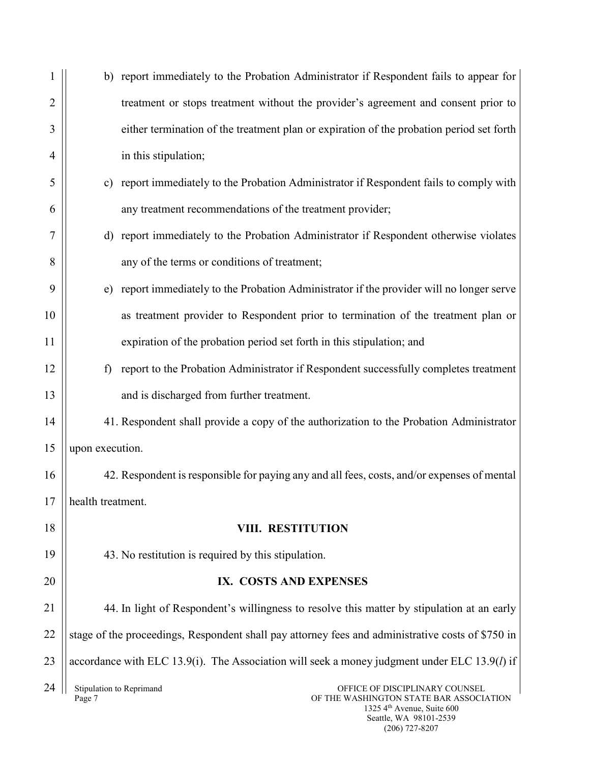|                | b) report immediately to the Probation Administrator if Respondent fails to appear for                          |  |
|----------------|-----------------------------------------------------------------------------------------------------------------|--|
| $\overline{2}$ | treatment or stops treatment without the provider's agreement and consent prior to                              |  |
| 3              | either termination of the treatment plan or expiration of the probation period set forth                        |  |
| 4              | in this stipulation;                                                                                            |  |
| 5              | report immediately to the Probation Administrator if Respondent fails to comply with<br>c)                      |  |
| 6              | any treatment recommendations of the treatment provider;                                                        |  |
| 7              | d) report immediately to the Probation Administrator if Respondent otherwise violates                           |  |
| 8              | any of the terms or conditions of treatment;                                                                    |  |
| 9              | report immediately to the Probation Administrator if the provider will no longer serve<br>e)                    |  |
| 10             | as treatment provider to Respondent prior to termination of the treatment plan or                               |  |
| 11             | expiration of the probation period set forth in this stipulation; and                                           |  |
| 12             | report to the Probation Administrator if Respondent successfully completes treatment<br>$\mathbf f$             |  |
| 13             | and is discharged from further treatment.                                                                       |  |
| 14             | 41. Respondent shall provide a copy of the authorization to the Probation Administrator                         |  |
| 15             | upon execution.                                                                                                 |  |
| 16             | 42. Respondent is responsible for paying any and all fees, costs, and/or expenses of mental                     |  |
| 17             | health treatment.                                                                                               |  |
| 18             | <b>VIII. RESTITUTION</b>                                                                                        |  |
| 19             | 43. No restitution is required by this stipulation.                                                             |  |
| 20             | IX. COSTS AND EXPENSES                                                                                          |  |
| 21             | 44. In light of Respondent's willingness to resolve this matter by stipulation at an early                      |  |
| 22             | stage of the proceedings, Respondent shall pay attorney fees and administrative costs of \$750 in               |  |
| 23             | accordance with ELC 13.9(i). The Association will seek a money judgment under ELC 13.9( $l$ ) if                |  |
| 24             | Stipulation to Reprimand<br>OFFICE OF DISCIPLINARY COUNSEL<br>Page 7<br>OF THE WASHINGTON STATE BAR ASSOCIATION |  |

1325 4th Avenue, Suite 600 Seattle, WA 98101-2539 (206) 727-8207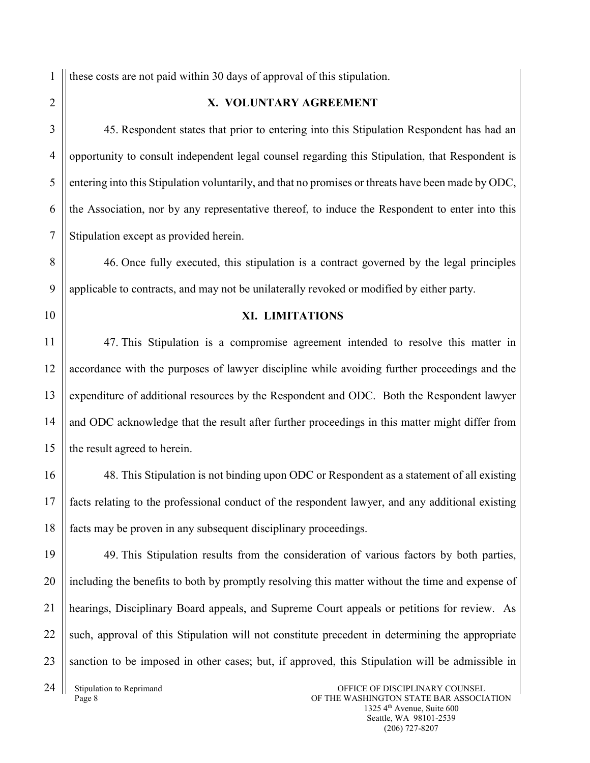1 these costs are not paid within 30 days of approval of this stipulation.

## $\overline{2}$

3

4

5

6

7

8

9

10

11

12

13

14

15

16

17

18

19

20

21

22

23

## **X. VOLUNTARY AGREEMENT**

45. Respondent states that prior to entering into this Stipulation Respondent has had an opportunity to consult independent legal counsel regarding this Stipulation, that Respondent is entering into this Stipulation voluntarily, and that no promises or threats have been made by ODC, the Association, nor by any representative thereof, to induce the Respondent to enter into this Stipulation except as provided herein.

46. Once fully executed, this stipulation is a contract governed by the legal principles applicable to contracts, and may not be unilaterally revoked or modified by either party.

**XI. LIMITATIONS**

47. This Stipulation is a compromise agreement intended to resolve this matter in accordance with the purposes of lawyer discipline while avoiding further proceedings and the expenditure of additional resources by the Respondent and ODC. Both the Respondent lawyer and ODC acknowledge that the result after further proceedings in this matter might differ from the result agreed to herein.

48. This Stipulation is not binding upon ODC or Respondent as a statement of all existing facts relating to the professional conduct of the respondent lawyer, and any additional existing facts may be proven in any subsequent disciplinary proceedings.

49. This Stipulation results from the consideration of various factors by both parties, including the benefits to both by promptly resolving this matter without the time and expense of hearings, Disciplinary Board appeals, and Supreme Court appeals or petitions for review. As such, approval of this Stipulation will not constitute precedent in determining the appropriate sanction to be imposed in other cases; but, if approved, this Stipulation will be admissible in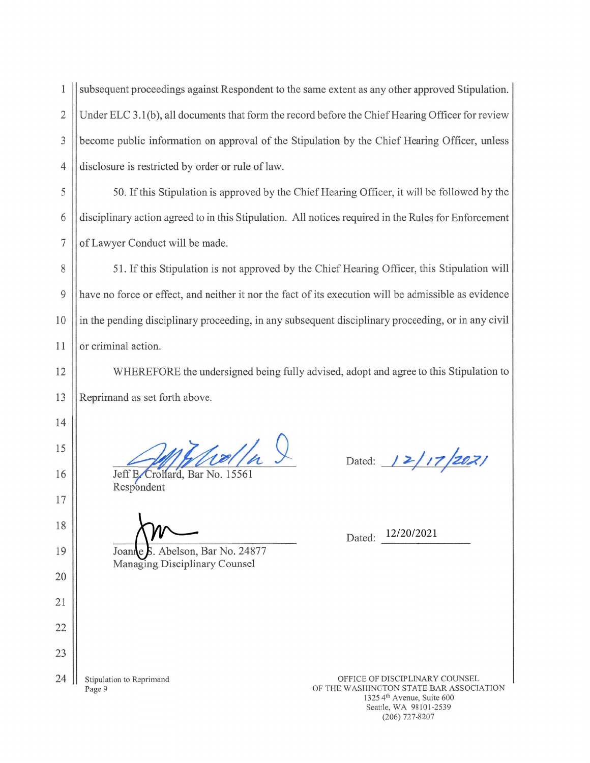$\mathbf{1}$ subsequent proceedings against Respondent to the same extent as any other approved Stipulation.  $\overline{2}$ Under ELC 3.1(b), all documents that form the record before the Chief Hearing Officer for review  $\overline{3}$ become public information on approval of the Stipulation by the Chief Hearing Officer, unless disclosure is restricted by order or rule of law.  $\overline{4}$ 

5 50. If this Stipulation is approved by the Chief Hearing Officer, it will be followed by the 6 disciplinary action agreed to in this Stipulation. All notices required in the Rules for Enforcement  $\overline{7}$ of Lawyer Conduct will be made.

8 51. If this Stipulation is not approved by the Chief Hearing Officer, this Stipulation will 9 have no force or effect, and neither it nor the fact of its execution will be admissible as evidence 10 in the pending disciplinary proceeding, in any subsequent disciplinary proceeding, or in any civil 11 or criminal action.

WHEREFORE the undersigned being fully advised, adopt and agree to this Stipulation to Reprimand as set forth above.

rolla S

Jeff B. Crollard, Bar No. 15561 Respondent

S. Abelson, Bar No. 24877 Managing Disciplinary Counsel

Dated:  $12/17/2021$ 

Dated: 12/20/2021

24 Stipulation to Reprimand Page 9

12

13

14

15

16

17

18

19

20

21

22

23

OFFICE OF DISCIPLINARY COUNSEL OF THE WASHINGTON STATE BAR ASSOCIATION 1325 4th Avenue, Suite 600 Seattle, WA 98101-2539  $(206)$  727-8207